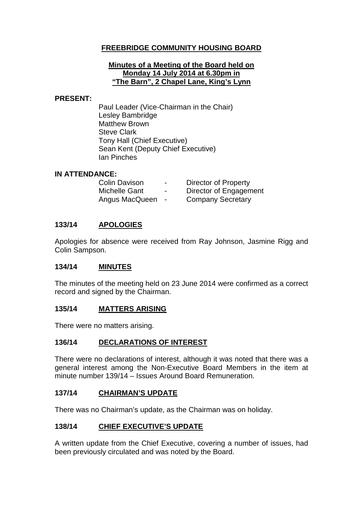## **FREEBRIDGE COMMUNITY HOUSING BOARD**

#### **Minutes of a Meeting of the Board held on Monday 14 July 2014 at 6.30pm in "The Barn", 2 Chapel Lane, King's Lynn**

#### **PRESENT:**

Paul Leader (Vice-Chairman in the Chair) Lesley Bambridge Matthew Brown Steve Clark Tony Hall (Chief Executive) Sean Kent (Deputy Chief Executive) Ian Pinches

## **IN ATTENDANCE:**

| <b>Colin Davison</b> | $\sim$                   | Director of Property     |
|----------------------|--------------------------|--------------------------|
| Michelle Gant        | $\overline{\phantom{0}}$ | Director of Engagement   |
| Angus MacQueen       | $\sim$                   | <b>Company Secretary</b> |

## **133/14 APOLOGIES**

Apologies for absence were received from Ray Johnson, Jasmine Rigg and Colin Sampson.

## **134/14 MINUTES**

The minutes of the meeting held on 23 June 2014 were confirmed as a correct record and signed by the Chairman.

## **135/14 MATTERS ARISING**

There were no matters arising.

## **136/14 DECLARATIONS OF INTEREST**

There were no declarations of interest, although it was noted that there was a general interest among the Non-Executive Board Members in the item at minute number 139/14 – Issues Around Board Remuneration.

## **137/14 CHAIRMAN'S UPDATE**

There was no Chairman's update, as the Chairman was on holiday.

## **138/14 CHIEF EXECUTIVE'S UPDATE**

A written update from the Chief Executive, covering a number of issues, had been previously circulated and was noted by the Board.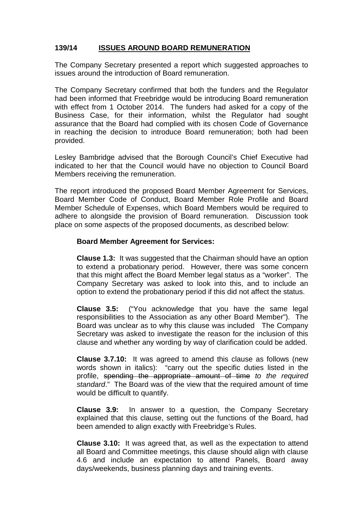## **139/14 ISSUES AROUND BOARD REMUNERATION**

The Company Secretary presented a report which suggested approaches to issues around the introduction of Board remuneration.

The Company Secretary confirmed that both the funders and the Regulator had been informed that Freebridge would be introducing Board remuneration with effect from 1 October 2014. The funders had asked for a copy of the Business Case, for their information, whilst the Regulator had sought assurance that the Board had complied with its chosen Code of Governance in reaching the decision to introduce Board remuneration; both had been provided.

Lesley Bambridge advised that the Borough Council's Chief Executive had indicated to her that the Council would have no objection to Council Board Members receiving the remuneration.

The report introduced the proposed Board Member Agreement for Services, Board Member Code of Conduct, Board Member Role Profile and Board Member Schedule of Expenses, which Board Members would be required to adhere to alongside the provision of Board remuneration. Discussion took place on some aspects of the proposed documents, as described below:

#### **Board Member Agreement for Services:**

**Clause 1.3:** It was suggested that the Chairman should have an option to extend a probationary period. However, there was some concern that this might affect the Board Member legal status as a "worker". The Company Secretary was asked to look into this, and to include an option to extend the probationary period if this did not affect the status.

**Clause 3.5:** ("You acknowledge that you have the same legal responsibilities to the Association as any other Board Member"). The Board was unclear as to why this clause was included The Company Secretary was asked to investigate the reason for the inclusion of this clause and whether any wording by way of clarification could be added.

**Clause 3.7.10:** It was agreed to amend this clause as follows (new words shown in italics): "carry out the specific duties listed in the profile, spending the appropriate amount of time *to the required standard*." The Board was of the view that the required amount of time would be difficult to quantify.

**Clause 3.9:** In answer to a question, the Company Secretary explained that this clause, setting out the functions of the Board, had been amended to align exactly with Freebridge's Rules.

**Clause 3.10:** It was agreed that, as well as the expectation to attend all Board and Committee meetings, this clause should align with clause 4.6 and include an expectation to attend Panels, Board away days/weekends, business planning days and training events.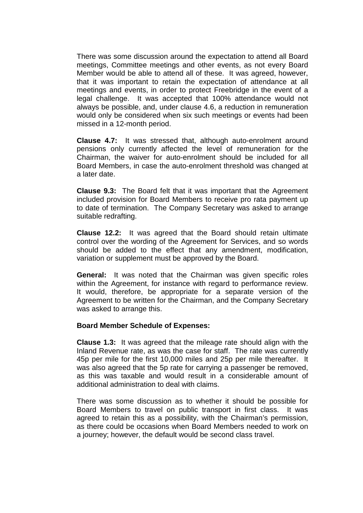There was some discussion around the expectation to attend all Board meetings, Committee meetings and other events, as not every Board Member would be able to attend all of these. It was agreed, however, that it was important to retain the expectation of attendance at all meetings and events, in order to protect Freebridge in the event of a legal challenge. It was accepted that 100% attendance would not always be possible, and, under clause 4.6, a reduction in remuneration would only be considered when six such meetings or events had been missed in a 12-month period.

**Clause 4.7:** It was stressed that, although auto-enrolment around pensions only currently affected the level of remuneration for the Chairman, the waiver for auto-enrolment should be included for all Board Members, in case the auto-enrolment threshold was changed at a later date.

**Clause 9.3:** The Board felt that it was important that the Agreement included provision for Board Members to receive pro rata payment up to date of termination. The Company Secretary was asked to arrange suitable redrafting.

**Clause 12.2:** It was agreed that the Board should retain ultimate control over the wording of the Agreement for Services, and so words should be added to the effect that any amendment, modification, variation or supplement must be approved by the Board.

**General:** It was noted that the Chairman was given specific roles within the Agreement, for instance with regard to performance review. It would, therefore, be appropriate for a separate version of the Agreement to be written for the Chairman, and the Company Secretary was asked to arrange this.

#### **Board Member Schedule of Expenses:**

**Clause 1.3:** It was agreed that the mileage rate should align with the Inland Revenue rate, as was the case for staff. The rate was currently 45p per mile for the first 10,000 miles and 25p per mile thereafter. It was also agreed that the 5p rate for carrying a passenger be removed, as this was taxable and would result in a considerable amount of additional administration to deal with claims.

There was some discussion as to whether it should be possible for Board Members to travel on public transport in first class. It was agreed to retain this as a possibility, with the Chairman's permission, as there could be occasions when Board Members needed to work on a journey; however, the default would be second class travel.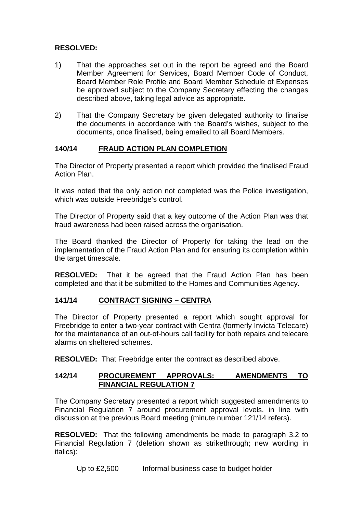## **RESOLVED:**

- 1) That the approaches set out in the report be agreed and the Board Member Agreement for Services, Board Member Code of Conduct, Board Member Role Profile and Board Member Schedule of Expenses be approved subject to the Company Secretary effecting the changes described above, taking legal advice as appropriate.
- 2) That the Company Secretary be given delegated authority to finalise the documents in accordance with the Board's wishes, subject to the documents, once finalised, being emailed to all Board Members.

## **140/14 FRAUD ACTION PLAN COMPLETION**

The Director of Property presented a report which provided the finalised Fraud Action Plan.

It was noted that the only action not completed was the Police investigation, which was outside Freebridge's control.

The Director of Property said that a key outcome of the Action Plan was that fraud awareness had been raised across the organisation.

The Board thanked the Director of Property for taking the lead on the implementation of the Fraud Action Plan and for ensuring its completion within the target timescale.

**RESOLVED:** That it be agreed that the Fraud Action Plan has been completed and that it be submitted to the Homes and Communities Agency.

## **141/14 CONTRACT SIGNING – CENTRA**

The Director of Property presented a report which sought approval for Freebridge to enter a two-year contract with Centra (formerly Invicta Telecare) for the maintenance of an out-of-hours call facility for both repairs and telecare alarms on sheltered schemes.

**RESOLVED:** That Freebridge enter the contract as described above.

## **142/14 PROCUREMENT APPROVALS: AMENDMENTS TO FINANCIAL REGULATION 7**

The Company Secretary presented a report which suggested amendments to Financial Regulation 7 around procurement approval levels, in line with discussion at the previous Board meeting (minute number 121/14 refers).

**RESOLVED:** That the following amendments be made to paragraph 3.2 to Financial Regulation 7 (deletion shown as strikethrough; new wording in italics):

Up to £2,500 Informal business case to budget holder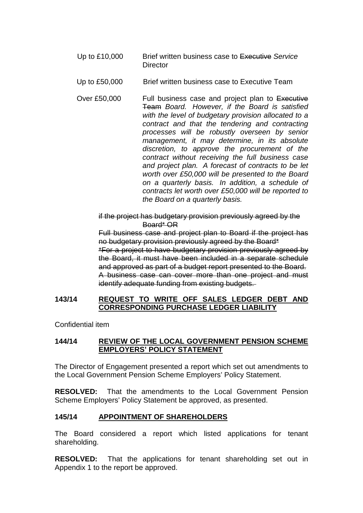- Up to £10,000 Brief written business case to Executive *Service*  **Director**
- Up to £50,000 Brief written business case to Executive Team
- Over £50,000 Full business case and project plan to Executive Team *Board. However, if the Board is satisfied with the level of budgetary provision allocated to a contract and that the tendering and contracting processes will be robustly overseen by senior management, it may determine, in its absolute discretion, to approve the procurement of the contract without receiving the full business case and project plan. A forecast of contracts to be let worth over £50,000 will be presented to the Board on a quarterly basis. In addition, a schedule of contracts let worth over £50,000 will be reported to the Board on a quarterly basis.*

if the project has budgetary provision previously agreed by the Board\* OR

Full business case and project plan to Board if the project has no budgetary provision previously agreed by the Board\* \*For a project to have budgetary provision previously agreed by the Board, it must have been included in a separate schedule and approved as part of a budget report presented to the Board. A business case can cover more than one project and must identify adequate funding from existing budgets.

#### **143/14 REQUEST TO WRITE OFF SALES LEDGER DEBT AND CORRESPONDING PURCHASE LEDGER LIABILITY**

Confidential item

## **144/14 REVIEW OF THE LOCAL GOVERNMENT PENSION SCHEME EMPLOYERS' POLICY STATEMENT**

The Director of Engagement presented a report which set out amendments to the Local Government Pension Scheme Employers' Policy Statement.

**RESOLVED:** That the amendments to the Local Government Pension Scheme Employers' Policy Statement be approved, as presented.

## **145/14 APPOINTMENT OF SHAREHOLDERS**

The Board considered a report which listed applications for tenant shareholding.

**RESOLVED:** That the applications for tenant shareholding set out in Appendix 1 to the report be approved.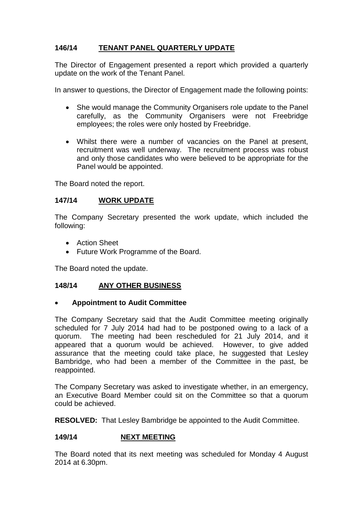## **146/14 TENANT PANEL QUARTERLY UPDATE**

The Director of Engagement presented a report which provided a quarterly update on the work of the Tenant Panel.

In answer to questions, the Director of Engagement made the following points:

- She would manage the Community Organisers role update to the Panel carefully, as the Community Organisers were not Freebridge employees; the roles were only hosted by Freebridge.
- Whilst there were a number of vacancies on the Panel at present, recruitment was well underway. The recruitment process was robust and only those candidates who were believed to be appropriate for the Panel would be appointed.

The Board noted the report.

## **147/14 WORK UPDATE**

The Company Secretary presented the work update, which included the following:

- Action Sheet
- Future Work Programme of the Board.

The Board noted the update.

## **148/14 ANY OTHER BUSINESS**

## • **Appointment to Audit Committee**

The Company Secretary said that the Audit Committee meeting originally scheduled for 7 July 2014 had had to be postponed owing to a lack of a quorum. The meeting had been rescheduled for 21 July 2014, and it appeared that a quorum would be achieved. However, to give added assurance that the meeting could take place, he suggested that Lesley Bambridge, who had been a member of the Committee in the past, be reappointed.

The Company Secretary was asked to investigate whether, in an emergency, an Executive Board Member could sit on the Committee so that a quorum could be achieved.

**RESOLVED:** That Lesley Bambridge be appointed to the Audit Committee.

## **149/14 NEXT MEETING**

The Board noted that its next meeting was scheduled for Monday 4 August 2014 at 6.30pm.